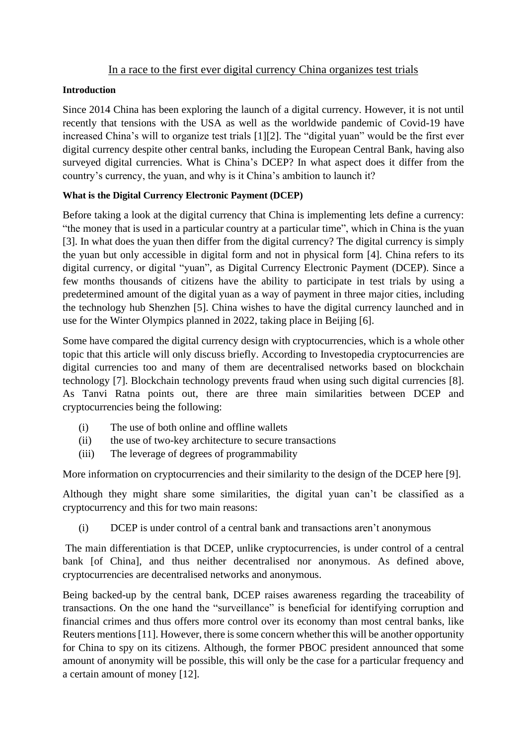## In a race to the first ever digital currency China organizes test trials

#### **Introduction**

Since 2014 China has been exploring the launch of a digital currency. However, it is not until recently that tensions with the USA as well as the worldwide pandemic of Covid-19 have increased China's will to organize test trials [1][2]. The "digital yuan" would be the first ever digital currency despite other central banks, including the European Central Bank, having also surveyed digital currencies. What is China's DCEP? In what aspect does it differ from the country's currency, the yuan, and why is it China's ambition to launch it?

## **What is the Digital Currency Electronic Payment (DCEP)**

Before taking a look at the digital currency that China is implementing lets define a currency: "the [money](https://dictionary.cambridge.org/fr/dictionnaire/anglais/money) that is used in a [particular](https://dictionary.cambridge.org/fr/dictionnaire/anglais/particular) [country](https://dictionary.cambridge.org/fr/dictionnaire/anglais/country) at a [particular](https://dictionary.cambridge.org/fr/dictionnaire/anglais/particular) [time"](https://dictionary.cambridge.org/fr/dictionnaire/anglais/time), which in China is the yuan [3]. In what does the yuan then differ from the digital currency? The digital currency is simply the yuan but only accessible in digital form and not in physical form [4]. China refers to its digital currency, or digital "yuan", as Digital Currency Electronic Payment (DCEP). Since a few months thousands of citizens have the ability to participate in test trials by using a predetermined amount of the digital yuan as a way of payment in three major cities, including the technology hub Shenzhen [5]. China wishes to have the digital currency launched and in use for the Winter Olympics planned in 2022, taking place in Beijing [6].

Some have compared the digital currency design with cryptocurrencies, which is a whole other topic that this article will only discuss briefly. According to Investopedia cryptocurrencies are digital currencies too and many of them are decentralised networks based on blockchain technology [7]. Blockchain technology prevents fraud when using such digital currencies [8]. As Tanvi Ratna points out, there are three main similarities between DCEP and cryptocurrencies being the following:

- (i) The use of both online and offline wallets
- (ii) the use of two-key architecture to secure transactions
- (iii) The leverage of degrees of programmability

More information on cryptocurrencies and their similarity to the design of the DCEP here [9].

Although they might share some similarities, the digital yuan can't be classified as a cryptocurrency and this for two main reasons:

(i) DCEP is under control of a central bank and transactions aren't anonymous

The main differentiation is that DCEP, unlike cryptocurrencies, is under control of a central bank [of China], and thus neither decentralised nor anonymous. As defined above, cryptocurrencies are decentralised networks and anonymous.

Being backed-up by the central bank, DCEP raises awareness regarding the traceability of transactions. On the one hand the "surveillance" is beneficial for identifying corruption and financial crimes and thus offers more control over its economy than most central banks, like Reuters mentions [11]. However, there is some concern whether this will be another opportunity for China to spy on its citizens. Although, the former PBOC president announced that some amount of anonymity will be possible, this will only be the case for a particular frequency and a certain amount of money [12].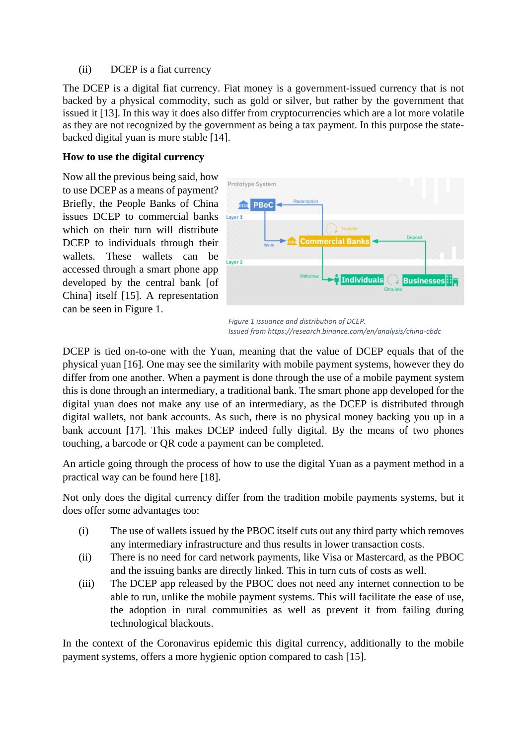(ii) DCEP is a fiat currency

The DCEP is a digital fiat currency. Fiat money is a government-issued currency that is not backed by a physical commodity, such as gold or silver, but rather by the government that issued it [13]. In this way it does also differ from cryptocurrencies which are a lot more volatile as they are not recognized by the government as being a tax payment. In this purpose the statebacked digital yuan is more stable [14].

#### **How to use the digital currency**

Now all the previous being said, how to use DCEP as a means of payment? Briefly, the People Banks of China issues DCEP to commercial banks which on their turn will distribute DCEP to individuals through their wallets. These wallets can be accessed through a smart phone app developed by the central bank [of China] itself [15]. A representation can be seen in Figure 1.



*Figure 1 issuance and distribution of DCEP. Issued from https://research.binance.com/en/analysis/china-cbdc*

DCEP is tied on-to-one with the Yuan, meaning that the value of DCEP equals that of the physical yuan [16]. One may see the similarity with mobile payment systems, however they do differ from one another. When a payment is done through the use of a mobile payment system this is done through an intermediary, a traditional bank. The smart phone app developed for the digital yuan does not make any use of an intermediary, as the DCEP is distributed through digital wallets, not bank accounts. As such, there is no physical money backing you up in a bank account [17]. This makes DCEP indeed fully digital. By the means of two phones touching, a barcode or QR code a payment can be completed.

An article going through the process of how to use the digital Yuan as a payment method in a practical way can be found here [18].

Not only does the digital currency differ from the tradition mobile payments systems, but it does offer some advantages too:

- (i) The use of wallets issued by the PBOC itself cuts out any third party which removes any intermediary infrastructure and thus results in lower transaction costs.
- (ii) There is no need for card network payments, like Visa or Mastercard, as the PBOC and the issuing banks are directly linked. This in turn cuts of costs as well.
- (iii) The DCEP app released by the PBOC does not need any internet connection to be able to run, unlike the mobile payment systems. This will facilitate the ease of use, the adoption in rural communities as well as prevent it from failing during technological blackouts.

In the context of the Coronavirus epidemic this digital currency, additionally to the mobile payment systems, offers a more hygienic option compared to cash [15].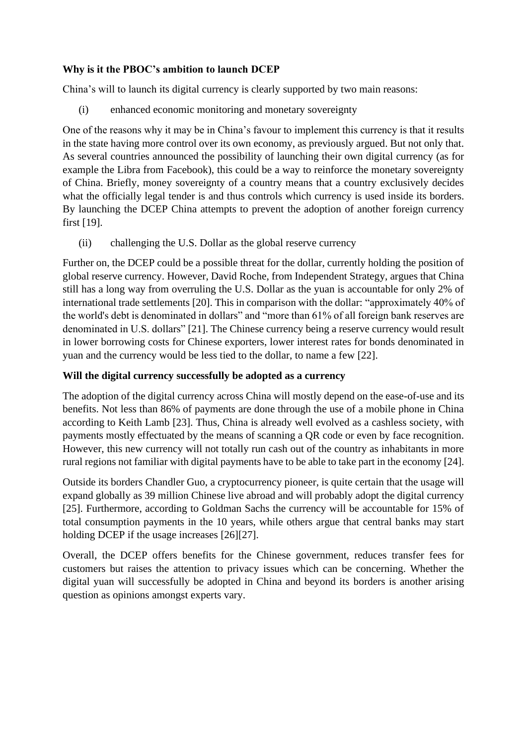## **Why is it the PBOC's ambition to launch DCEP**

China's will to launch its digital currency is clearly supported by two main reasons:

(i) enhanced economic monitoring and monetary sovereignty

One of the reasons why it may be in China's favour to implement this currency is that it results in the state having more control over its own economy, as previously argued. But not only that. As several countries announced the possibility of launching their own digital currency (as for example the Libra from Facebook), this could be a way to reinforce the monetary sovereignty of China. Briefly, money sovereignty of a country means that a country exclusively decides what the officially legal tender is and thus controls which currency is used inside its borders. By launching the DCEP China attempts to prevent the adoption of another foreign currency first [19].

(ii) challenging the U.S. Dollar as the global reserve currency

Further on, the DCEP could be a possible threat for the dollar, currently holding the position of global reserve currency. However, David Roche, from Independent Strategy, argues that China still has a long way from overruling the U.S. Dollar as the yuan is accountable for only 2% of international trade settlements [20]. This in comparison with the dollar: "approximately 40% of the world's debt is denominated in dollars" and "more than 61% of all foreign bank reserves are denominated in U.S. dollars" [21]. The Chinese currency being a reserve currency would result in lower borrowing costs for Chinese exporters, lower interest rates for bonds denominated in yuan and the currency would be less tied to the dollar, to name a few [22].

## **Will the digital currency successfully be adopted as a currency**

The adoption of the digital currency across China will mostly depend on the ease-of-use and its benefits. Not less than 86% of payments are done through the use of a mobile phone in China according to Keith Lamb [23]. Thus, China is already well evolved as a cashless society, with payments mostly effectuated by the means of scanning a QR code or even by face recognition. However, this new currency will not totally run cash out of the country as inhabitants in more rural regions not familiar with digital payments have to be able to take part in the economy [24].

Outside its borders Chandler Guo, a cryptocurrency pioneer, is quite certain that the usage will expand globally as 39 million Chinese live abroad and will probably adopt the digital currency [25]. Furthermore, according to Goldman Sachs the currency will be accountable for 15% of total consumption payments in the 10 years, while others argue that central banks may start holding DCEP if the usage increases [26][27].

Overall, the DCEP offers benefits for the Chinese government, reduces transfer fees for customers but raises the attention to privacy issues which can be concerning. Whether the digital yuan will successfully be adopted in China and beyond its borders is another arising question as opinions amongst experts vary.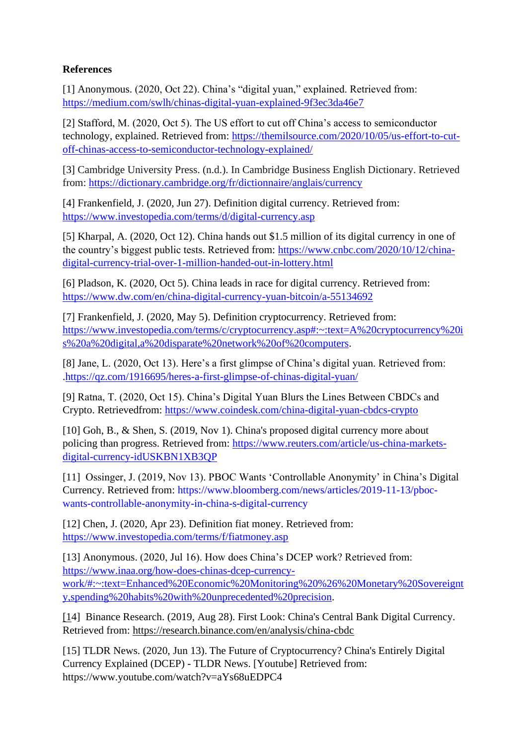# **References**

[1] Anonymous. (2020, Oct 22). China's "digital yuan," explained. Retrieved from: <https://medium.com/swlh/chinas-digital-yuan-explained-9f3ec3da46e7>

[2] Stafford, M. (2020, Oct 5). The US effort to cut off China's access to semiconductor technology, explained. Retrieved from: [https://themilsource.com/2020/10/05/us-effort-to-cut](https://themilsource.com/2020/10/05/us-effort-to-cut-off-chinas-access-to-semiconductor-technology-explained/)[off-chinas-access-to-semiconductor-technology-explained/](https://themilsource.com/2020/10/05/us-effort-to-cut-off-chinas-access-to-semiconductor-technology-explained/)

[3] Cambridge University Press. (n.d.). In Cambridge Business English Dictionary. Retrieved from: <https://dictionary.cambridge.org/fr/dictionnaire/anglais/currency>

[4] Frankenfield, J. (2020, Jun 27). Definition digital currency. Retrieved from: https://www.investopedia.com/terms/d/digital-currency.asp

[5] Kharpal, A. (2020, Oct 12). China hands out \$1.5 million of its digital currency in one of the country's biggest public tests. Retrieved from: [https://www.cnbc.com/2020/10/12/china](https://www.cnbc.com/2020/10/12/china-digital-currency-trial-over-1-million-handed-out-in-lottery.html)[digital-currency-trial-over-1-million-handed-out-in-lottery.html](https://www.cnbc.com/2020/10/12/china-digital-currency-trial-over-1-million-handed-out-in-lottery.html)

[6] Pladson, K. (2020, Oct 5). China leads in race for digital currency. Retrieved from: <https://www.dw.com/en/china-digital-currency-yuan-bitcoin/a-55134692>

[7] Frankenfield, J. (2020, May 5). Definition cryptocurrency. Retrieved from: [https://www.investopedia.com/terms/c/cryptocurrency.asp#:~:text=A%20cryptocurrency%20i](https://www.investopedia.com/terms/c/cryptocurrency.asp#:~:text=A%20cryptocurrency%20is%20a%20digital,a%20disparate%20network%20of%20computers) [s%20a%20digital,a%20disparate%20network%20of%20computers.](https://www.investopedia.com/terms/c/cryptocurrency.asp#:~:text=A%20cryptocurrency%20is%20a%20digital,a%20disparate%20network%20of%20computers)

[8] Jane, L. (2020, Oct 13). Here's a first glimpse of China's digital yuan. Retrieved from: [.https://qz.com/1916695/heres-a-first-glimpse-of-chinas-digital-yuan/](https://qz.com/1916695/heres-a-first-glimpse-of-chinas-digital-yuan/)

[9] Ratna, T. (2020, Oct 15). China's Digital Yuan Blurs the Lines Between CBDCs and Crypto. Retrievedfrom:<https://www.coindesk.com/china-digital-yuan-cbdcs-crypto>

[10] Goh, B., & Shen, S. (2019, Nov 1). China's proposed digital currency more about policing than progress. Retrieved from: [https://www.reuters.com/article/us-china-markets](https://www.reuters.com/article/us-china-markets-digital-currency-idUSKBN1XB3QP)[digital-currency-idUSKBN1XB3QP](https://www.reuters.com/article/us-china-markets-digital-currency-idUSKBN1XB3QP)

[11] Ossinger, J. (2019, Nov 13). PBOC Wants 'Controllable Anonymity' in China's Digital Currency. Retrieved from: [https://www.bloomberg.com/news/articles/2019-11-13/pboc](https://www.bloomberg.com/news/articles/2019-11-13/pboc-wants-controllable-anonymity-in-china-s-digital-currency)[wants-controllable-anonymity-in-china-s-digital-currency](https://www.bloomberg.com/news/articles/2019-11-13/pboc-wants-controllable-anonymity-in-china-s-digital-currency)

[12] Chen, J. (2020, Apr 23). Definition fiat money. Retrieved from: <https://www.investopedia.com/terms/f/fiatmoney.asp>

[13] Anonymous. (2020, Jul 16). How does China's DCEP work? Retrieved from: [https://www.inaa.org/how-does-chinas-dcep-currency](https://www.inaa.org/how-does-chinas-dcep-currency-work/#:~:text=Enhanced%20Economic%20Monitoring%20%26%20Monetary%20Sovereignty,spending%20habits%20with%20unprecedented%20precision)[work/#:~:text=Enhanced%20Economic%20Monitoring%20%26%20Monetary%20Sovereignt](https://www.inaa.org/how-does-chinas-dcep-currency-work/#:~:text=Enhanced%20Economic%20Monitoring%20%26%20Monetary%20Sovereignty,spending%20habits%20with%20unprecedented%20precision) [y,spending%20habits%20with%20unprecedented%20precision.](https://www.inaa.org/how-does-chinas-dcep-currency-work/#:~:text=Enhanced%20Economic%20Monitoring%20%26%20Monetary%20Sovereignty,spending%20habits%20with%20unprecedented%20precision)

[14] Binance Research. (2019, Aug 28). First Look: China's Central Bank Digital Currency. Retrieved from:<https://research.binance.com/en/analysis/china-cbdc>

[15] TLDR News. (2020, Jun 13). The Future of Cryptocurrency? China's Entirely Digital Currency Explained (DCEP) - TLDR News. [Youtube] Retrieved from: <https://www.youtube.com/watch?v=aYs68uEDPC4>